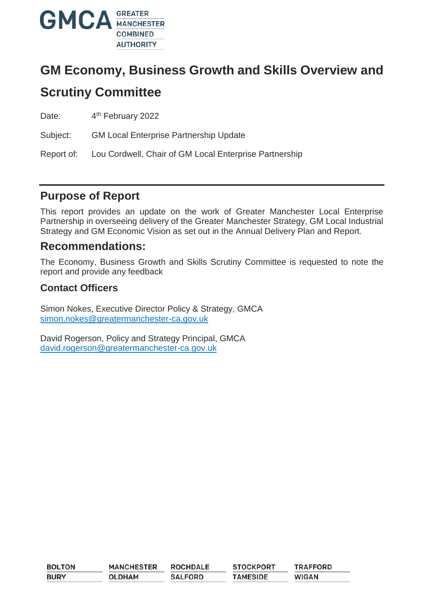

# **GM Economy, Business Growth and Skills Overview and**

# **Scrutiny Committee**

Date: 4<sup>th</sup> February 2022

Subject: GM Local Enterprise Partnership Update

Report of: Lou Cordwell, Chair of GM Local Enterprise Partnership

#### **Purpose of Report**

This report provides an update on the work of Greater Manchester Local Enterprise Partnership in overseeing delivery of the Greater Manchester Strategy, GM Local Industrial Strategy and GM Economic Vision as set out in the Annual Delivery Plan and Report.

#### **Recommendations:**

The Economy, Business Growth and Skills Scrutiny Committee is requested to note the report and provide any feedback

#### **Contact Officers**

Simon Nokes, Executive Director Policy & Strategy, GMCA [simon.nokes@greatermanchester-ca.gov.uk](mailto:simon.nokes@greatermanchester-ca.gov.uk)

David Rogerson, Policy and Strategy Principal, GMCA [david.rogerson@greatermanchester-ca.gov.uk](mailto:david.rogerson@greatermanchester-ca.gov.uk)

| <b>BOLTON</b> | <b>MANCHESTER</b> | <b>ROCHDALE</b> | <b>STOCKPORT</b> | <b>TRAFFORD</b> |
|---------------|-------------------|-----------------|------------------|-----------------|
| <b>BURY</b>   | <b>OLDHAM</b>     | <b>SALFORD</b>  | <b>TAMESIDE</b>  | <b>WIGAN</b>    |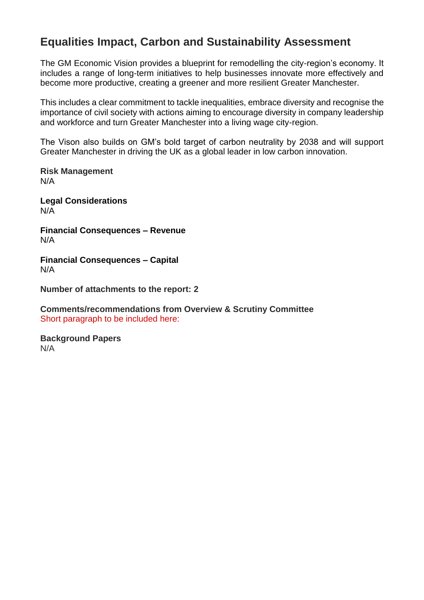### **Equalities Impact, Carbon and Sustainability Assessment**

The GM Economic Vision provides a blueprint for remodelling the city-region's economy. It includes a range of long-term initiatives to help businesses innovate more effectively and become more productive, creating a greener and more resilient Greater Manchester.

This includes a clear commitment to tackle inequalities, embrace diversity and recognise the importance of civil society with actions aiming to encourage diversity in company leadership and workforce and turn Greater Manchester into a living wage city-region.

The Vison also builds on GM's bold target of carbon neutrality by 2038 and will support Greater Manchester in driving the UK as a global leader in low carbon innovation.

**Risk Management** N/A

**Legal Considerations** N/A

**Financial Consequences – Revenue** N/A

**Financial Consequences – Capital** N/A

**Number of attachments to the report: 2**

**Comments/recommendations from Overview & Scrutiny Committee**  Short paragraph to be included here:

**Background Papers** N/A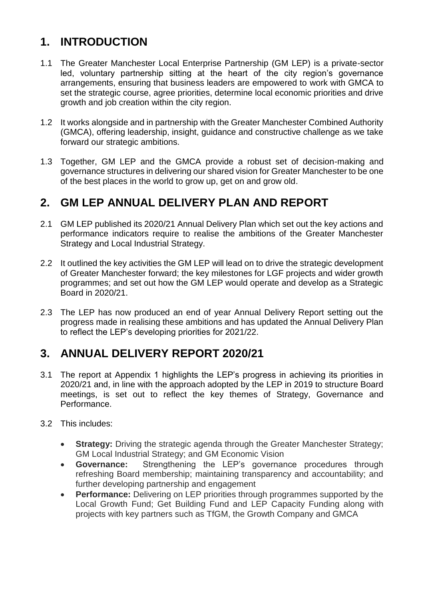## **1. INTRODUCTION**

- 1.1 The Greater Manchester Local Enterprise Partnership (GM LEP) is a private-sector led, voluntary partnership sitting at the heart of the city region's governance arrangements, ensuring that business leaders are empowered to work with GMCA to set the strategic course, agree priorities, determine local economic priorities and drive growth and job creation within the city region.
- 1.2 It works alongside and in partnership with the Greater Manchester Combined Authority (GMCA), offering leadership, insight, guidance and constructive challenge as we take forward our strategic ambitions.
- 1.3 Together, GM LEP and the GMCA provide a robust set of decision-making and governance structures in delivering our shared vision for Greater Manchester to be one of the best places in the world to grow up, get on and grow old.

## **2. GM LEP ANNUAL DELIVERY PLAN AND REPORT**

- 2.1 GM LEP published its 2020/21 Annual Delivery Plan which set out the key actions and performance indicators require to realise the ambitions of the Greater Manchester Strategy and Local Industrial Strategy.
- 2.2 It outlined the key activities the GM LEP will lead on to drive the strategic development of Greater Manchester forward; the key milestones for LGF projects and wider growth programmes; and set out how the GM LEP would operate and develop as a Strategic Board in 2020/21.
- 2.3 The LEP has now produced an end of year Annual Delivery Report setting out the progress made in realising these ambitions and has updated the Annual Delivery Plan to reflect the LEP's developing priorities for 2021/22.

## **3. ANNUAL DELIVERY REPORT 2020/21**

- 3.1 The report at Appendix 1 highlights the LEP's progress in achieving its priorities in 2020/21 and, in line with the approach adopted by the LEP in 2019 to structure Board meetings, is set out to reflect the key themes of Strategy, Governance and Performance.
- 3.2 This includes:
	- **Strategy:** Driving the strategic agenda through the Greater Manchester Strategy; GM Local Industrial Strategy; and GM Economic Vision
	- **Governance:** Strengthening the LEP's governance procedures through refreshing Board membership; maintaining transparency and accountability; and further developing partnership and engagement
	- **Performance:** Delivering on LEP priorities through programmes supported by the Local Growth Fund; Get Building Fund and LEP Capacity Funding along with projects with key partners such as TfGM, the Growth Company and GMCA